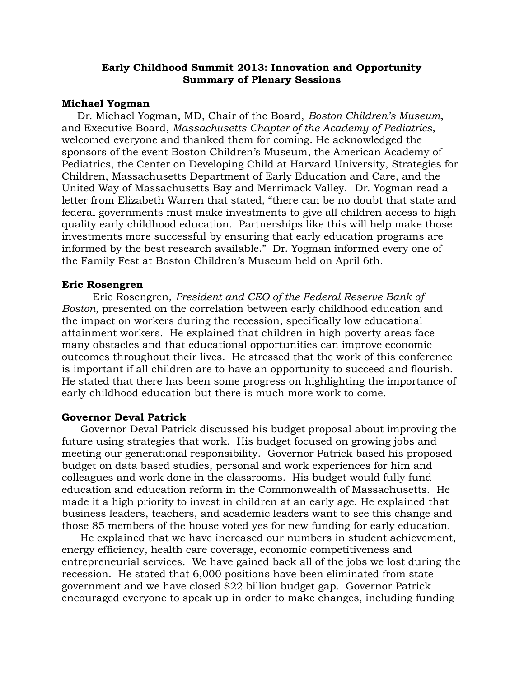# **Early Childhood Summit 2013: Innovation and Opportunity Summary of Plenary Sessions**

## **Michael Yogman**

Dr. Michael Yogman, MD, Chair of the Board, *Boston Children's Museum*, and Executive Board, *Massachusetts Chapter of the Academy of Pediatrics*, welcomed everyone and thanked them for coming. He acknowledged the sponsors of the event Boston Children's Museum, the American Academy of Pediatrics, the Center on Developing Child at Harvard University, Strategies for Children, Massachusetts Department of Early Education and Care, and the United Way of Massachusetts Bay and Merrimack Valley.Dr. Yogman read a letter from Elizabeth Warren that stated, "there can be no doubt that state and federal governments must make investments to give all children access to high quality early childhood education. Partnerships like this will help make those investments more successful by ensuring that early education programs are informed by the best research available." Dr. Yogman informed every one of the Family Fest at Boston Children's Museum held on April 6th.

### **Eric Rosengren**

Eric Rosengren, *President and CEO of the Federal Reserve Bank of Boston*, presented on the correlation between early childhood education and the impact on workers during the recession, specifically low educational attainment workers. He explained that children in high poverty areas face many obstacles and that educational opportunities can improve economic outcomes throughout their lives. He stressed that the work of this conference is important if all children are to have an opportunity to succeed and flourish. He stated that there has been some progress on highlighting the importance of early childhood education but there is much more work to come.

### **Governor Deval Patrick**

Governor Deval Patrick discussed his budget proposal about improving the future using strategies that work. His budget focused on growing jobs and meeting our generational responsibility. Governor Patrick based his proposed budget on data based studies, personal and work experiences for him and colleagues and work done in the classrooms. His budget would fully fund education and education reform in the Commonwealth of Massachusetts. He made it a high priority to invest in children at an early age. He explained that business leaders, teachers, and academic leaders want to see this change and those 85 members of the house voted yes for new funding for early education.

He explained that we have increased our numbers in student achievement, energy efficiency, health care coverage, economic competitiveness and entrepreneurial services. We have gained back all of the jobs we lost during the recession. He stated that 6,000 positions have been eliminated from state government and we have closed \$22 billion budget gap. Governor Patrick encouraged everyone to speak up in order to make changes, including funding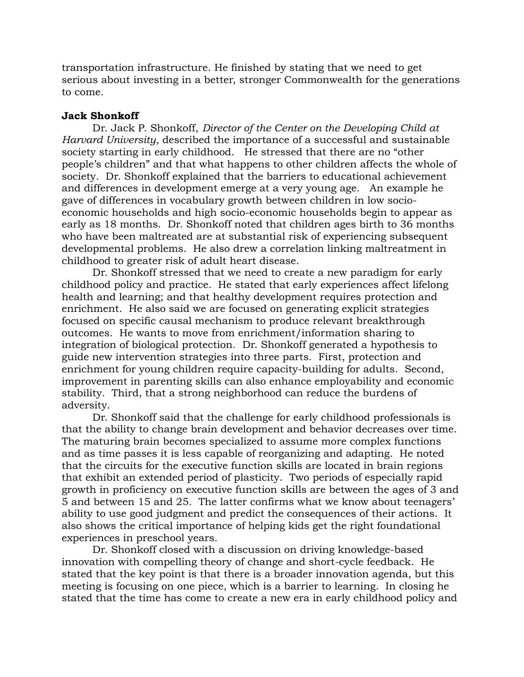transportation infrastructure. He finished by stating that we need to get serious about investing in a better, stronger Commonwealth for the generations to come.

## **Jack Shonkoff**

Dr. Jack P. Shonkoff, *Director of the Center on the Developing Child at Harvard University*, described the importance of a successful and sustainable society starting in early childhood. He stressed that there are no "other people's children" and that what happens to other children affects the whole of society. Dr. Shonkoff explained that the barriers to educational achievement and differences in development emerge at a very young age. An example he gave of differences in vocabulary growth between children in low socioeconomic households and high socio-economic households begin to appear as early as 18 months. Dr. Shonkoff noted that children ages birth to 36 months who have been maltreated are at substantial risk of experiencing subsequent developmental problems. He also drew a correlation linking maltreatment in childhood to greater risk of adult heart disease.

Dr. Shonkoff stressed that we need to create a new paradigm for early childhood policy and practice. He stated that early experiences affect lifelong health and learning; and that healthy development requires protection and enrichment. He also said we are focused on generating explicit strategies focused on specific causal mechanism to produce relevant breakthrough outcomes. He wants to move from enrichment/information sharing to integration of biological protection. Dr. Shonkoff generated a hypothesis to guide new intervention strategies into three parts. First, protection and enrichment for young children require capacity-building for adults. Second, improvement in parenting skills can also enhance employability and economic stability. Third, that a strong neighborhood can reduce the burdens of adversity.

Dr. Shonkoff said that the challenge for early childhood professionals is that the ability to change brain development and behavior decreases over time. The maturing brain becomes specialized to assume more complex functions and as time passes it is less capable of reorganizing and adapting. He noted that the circuits for the executive function skills are located in brain regions that exhibit an extended period of plasticity. Two periods of especially rapid growth in proficiency on executive function skills are between the ages of 3 and 5 and between 15 and 25. The latter confirms what we know about teenagers' ability to use good judgment and predict the consequences of their actions. It also shows the critical importance of helping kids get the right foundational experiences in preschool years.

Dr. Shonkoff closed with a discussion on driving knowledge-based innovation with compelling theory of change and short-cycle feedback. He stated that the key point is that there is a broader innovation agenda, but this meeting is focusing on one piece, which is a barrier to learning. In closing he stated that the time has come to create a new era in early childhood policy and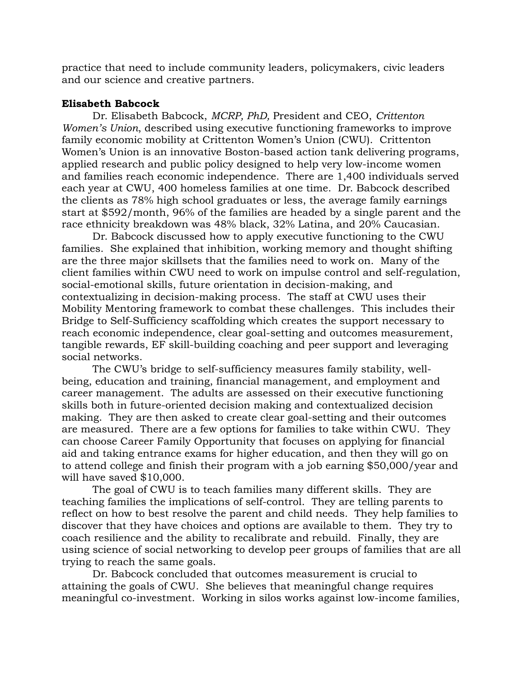practice that need to include community leaders, policymakers, civic leaders and our science and creative partners.

# **Elisabeth Babcock**

Dr. Elisabeth Babcock, *MCRP, PhD,* President and CEO, *Crittenton Women's Union*, described using executive functioning frameworks to improve family economic mobility at Crittenton Women's Union (CWU). Crittenton Women's Union is an innovative Boston-based action tank delivering programs, applied research and public policy designed to help very low-income women and families reach economic independence. There are 1,400 individuals served each year at CWU, 400 homeless families at one time. Dr. Babcock described the clients as 78% high school graduates or less, the average family earnings start at \$592/month, 96% of the families are headed by a single parent and the race ethnicity breakdown was 48% black, 32% Latina, and 20% Caucasian.

Dr. Babcock discussed how to apply executive functioning to the CWU families. She explained that inhibition, working memory and thought shifting are the three major skillsets that the families need to work on. Many of the client families within CWU need to work on impulse control and self-regulation, social-emotional skills, future orientation in decision-making, and contextualizing in decision-making process. The staff at CWU uses their Mobility Mentoring framework to combat these challenges. This includes their Bridge to Self-Sufficiency scaffolding which creates the support necessary to reach economic independence, clear goal-setting and outcomes measurement, tangible rewards, EF skill-building coaching and peer support and leveraging social networks.

The CWU's bridge to self-sufficiency measures family stability, wellbeing, education and training, financial management, and employment and career management. The adults are assessed on their executive functioning skills both in future-oriented decision making and contextualized decision making. They are then asked to create clear goal-setting and their outcomes are measured. There are a few options for families to take within CWU. They can choose Career Family Opportunity that focuses on applying for financial aid and taking entrance exams for higher education, and then they will go on to attend college and finish their program with a job earning \$50,000/year and will have saved \$10,000.

The goal of CWU is to teach families many different skills. They are teaching families the implications of self-control. They are telling parents to reflect on how to best resolve the parent and child needs. They help families to discover that they have choices and options are available to them. They try to coach resilience and the ability to recalibrate and rebuild. Finally, they are using science of social networking to develop peer groups of families that are all trying to reach the same goals.

Dr. Babcock concluded that outcomes measurement is crucial to attaining the goals of CWU. She believes that meaningful change requires meaningful co-investment. Working in silos works against low-income families,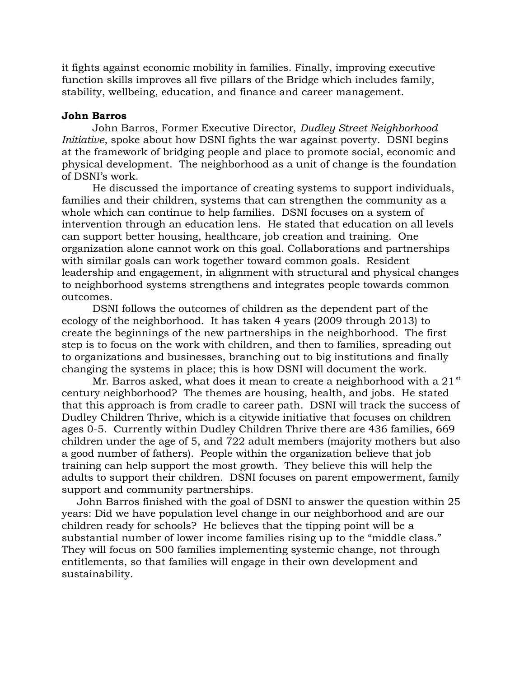it fights against economic mobility in families. Finally, improving executive function skills improves all five pillars of the Bridge which includes family, stability, wellbeing, education, and finance and career management.

## **John Barros**

John Barros, Former Executive Director, *Dudley Street Neighborhood Initiative*, spoke about how DSNI fights the war against poverty. DSNI begins at the framework of bridging people and place to promote social, economic and physical development. The neighborhood as a unit of change is the foundation of DSNI's work.

He discussed the importance of creating systems to support individuals, families and their children, systems that can strengthen the community as a whole which can continue to help families. DSNI focuses on a system of intervention through an education lens. He stated that education on all levels can support better housing, healthcare, job creation and training. One organization alone cannot work on this goal. Collaborations and partnerships with similar goals can work together toward common goals. Resident leadership and engagement, in alignment with structural and physical changes to neighborhood systems strengthens and integrates people towards common outcomes.

DSNI follows the outcomes of children as the dependent part of the ecology of the neighborhood. It has taken 4 years (2009 through 2013) to create the beginnings of the new partnerships in the neighborhood. The first step is to focus on the work with children, and then to families, spreading out to organizations and businesses, branching out to big institutions and finally changing the systems in place; this is how DSNI will document the work.

Mr. Barros asked, what does it mean to create a neighborhood with a  $21^{st}$ century neighborhood? The themes are housing, health, and jobs. He stated that this approach is from cradle to career path. DSNI will track the success of Dudley Children Thrive, which is a citywide initiative that focuses on children ages 0-5. Currently within Dudley Children Thrive there are 436 families, 669 children under the age of 5, and 722 adult members (majority mothers but also a good number of fathers). People within the organization believe that job training can help support the most growth. They believe this will help the adults to support their children. DSNI focuses on parent empowerment, family support and community partnerships.

John Barros finished with the goal of DSNI to answer the question within 25 years: Did we have population level change in our neighborhood and are our children ready for schools? He believes that the tipping point will be a substantial number of lower income families rising up to the "middle class." They will focus on 500 families implementing systemic change, not through entitlements, so that families will engage in their own development and sustainability.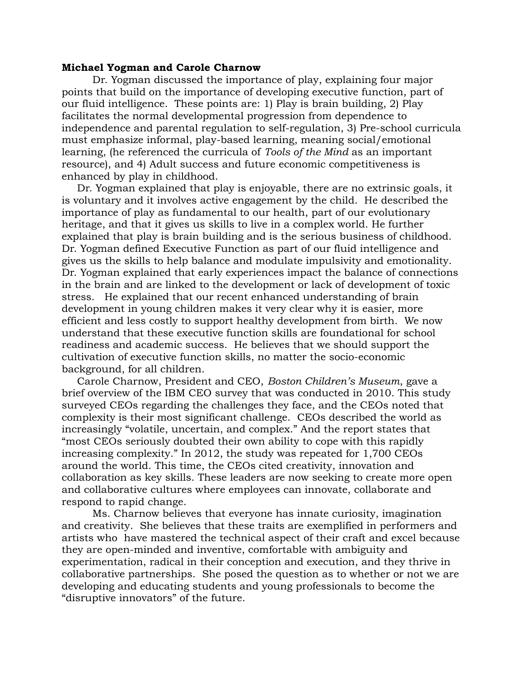### **Michael Yogman and Carole Charnow**

Dr. Yogman discussed the importance of play, explaining four major points that build on the importance of developing executive function, part of our fluid intelligence. These points are: 1) Play is brain building, 2) Play facilitates the normal developmental progression from dependence to independence and parental regulation to self-regulation, 3) Pre-school curricula must emphasize informal, play-based learning, meaning social/emotional learning, (he referenced the curricula of *Tools of the Mind* as an important resource), and 4) Adult success and future economic competitiveness is enhanced by play in childhood.

Dr. Yogman explained that play is enjoyable, there are no extrinsic goals, it is voluntary and it involves active engagement by the child. He described the importance of play as fundamental to our health, part of our evolutionary heritage, and that it gives us skills to live in a complex world. He further explained that play is brain building and is the serious business of childhood. Dr. Yogman defined Executive Function as part of our fluid intelligence and gives us the skills to help balance and modulate impulsivity and emotionality. Dr. Yogman explained that early experiences impact the balance of connections in the brain and are linked to the development or lack of development of toxic stress. He explained that our recent enhanced understanding of brain development in young children makes it very clear why it is easier, more efficient and less costly to support healthy development from birth. We now understand that these executive function skills are foundational for school readiness and academic success. He believes that we should support the cultivation of executive function skills, no matter the socio-economic background, for all children.

Carole Charnow, President and CEO, *Boston Children's Museum*, gave a brief overview of the IBM CEO survey that was conducted in 2010. This study surveyed CEOs regarding the challenges they face, and the CEOs noted that complexity is their most significant challenge. CEOs described the world as increasingly "volatile, uncertain, and complex." And the report states that "most CEOs seriously doubted their own ability to cope with this rapidly increasing complexity." In 2012, the study was repeated for 1,700 CEOs around the world. This time, the CEOs cited creativity, innovation and collaboration as key skills. These leaders are now seeking to create more open and collaborative cultures where employees can innovate, collaborate and respond to rapid change.

Ms. Charnow believes that everyone has innate curiosity, imagination and creativity. She believes that these traits are exemplified in performers and artists who have mastered the technical aspect of their craft and excel because they are open-minded and inventive, comfortable with ambiguity and experimentation, radical in their conception and execution, and they thrive in collaborative partnerships. She posed the question as to whether or not we are developing and educating students and young professionals to become the "disruptive innovators" of the future.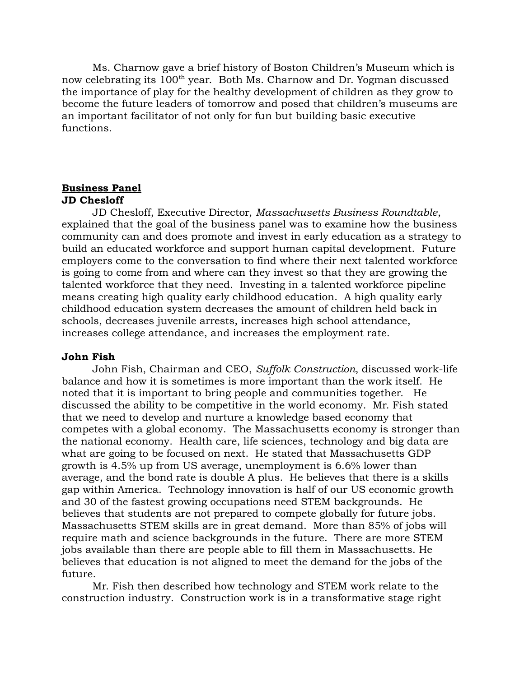Ms. Charnow gave a brief history of Boston Children's Museum which is now celebrating its 100<sup>th</sup> year. Both Ms. Charnow and Dr. Yogman discussed the importance of play for the healthy development of children as they grow to become the future leaders of tomorrow and posed that children's museums are an important facilitator of not only for fun but building basic executive functions.

# **Business Panel JD Chesloff**

JD Chesloff, Executive Director, *Massachusetts Business Roundtable*, explained that the goal of the business panel was to examine how the business community can and does promote and invest in early education as a strategy to build an educated workforce and support human capital development. Future employers come to the conversation to find where their next talented workforce is going to come from and where can they invest so that they are growing the talented workforce that they need. Investing in a talented workforce pipeline means creating high quality early childhood education. A high quality early childhood education system decreases the amount of children held back in schools, decreases juvenile arrests, increases high school attendance, increases college attendance, and increases the employment rate.

## **John Fish**

John Fish, Chairman and CEO, *Suffolk Construction*, discussed work-life balance and how it is sometimes is more important than the work itself. He noted that it is important to bring people and communities together. He discussed the ability to be competitive in the world economy. Mr. Fish stated that we need to develop and nurture a knowledge based economy that competes with a global economy. The Massachusetts economy is stronger than the national economy. Health care, life sciences, technology and big data are what are going to be focused on next. He stated that Massachusetts GDP growth is 4.5% up from US average, unemployment is 6.6% lower than average, and the bond rate is double A plus. He believes that there is a skills gap within America. Technology innovation is half of our US economic growth and 30 of the fastest growing occupations need STEM backgrounds. He believes that students are not prepared to compete globally for future jobs. Massachusetts STEM skills are in great demand. More than 85% of jobs will require math and science backgrounds in the future. There are more STEM jobs available than there are people able to fill them in Massachusetts. He believes that education is not aligned to meet the demand for the jobs of the future.

Mr. Fish then described how technology and STEM work relate to the construction industry. Construction work is in a transformative stage right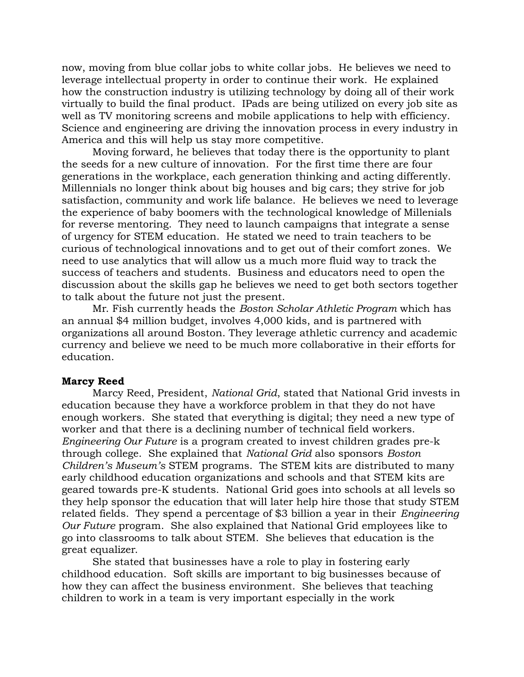now, moving from blue collar jobs to white collar jobs. He believes we need to leverage intellectual property in order to continue their work. He explained how the construction industry is utilizing technology by doing all of their work virtually to build the final product. IPads are being utilized on every job site as well as TV monitoring screens and mobile applications to help with efficiency. Science and engineering are driving the innovation process in every industry in America and this will help us stay more competitive.

Moving forward, he believes that today there is the opportunity to plant the seeds for a new culture of innovation. For the first time there are four generations in the workplace, each generation thinking and acting differently. Millennials no longer think about big houses and big cars; they strive for job satisfaction, community and work life balance. He believes we need to leverage the experience of baby boomers with the technological knowledge of Millenials for reverse mentoring. They need to launch campaigns that integrate a sense of urgency for STEM education. He stated we need to train teachers to be curious of technological innovations and to get out of their comfort zones. We need to use analytics that will allow us a much more fluid way to track the success of teachers and students. Business and educators need to open the discussion about the skills gap he believes we need to get both sectors together to talk about the future not just the present.

Mr. Fish currently heads the *Boston Scholar Athletic Program* which has an annual \$4 million budget, involves 4,000 kids, and is partnered with organizations all around Boston. They leverage athletic currency and academic currency and believe we need to be much more collaborative in their efforts for education.

### **Marcy Reed**

Marcy Reed, President, *National Grid*, stated that National Grid invests in education because they have a workforce problem in that they do not have enough workers. She stated that everything is digital; they need a new type of worker and that there is a declining number of technical field workers. *Engineering Our Future* is a program created to invest children grades pre-k through college. She explained that *National Grid* also sponsors *Boston Children's Museum's* STEM programs. The STEM kits are distributed to many early childhood education organizations and schools and that STEM kits are geared towards pre-K students. National Grid goes into schools at all levels so they help sponsor the education that will later help hire those that study STEM related fields. They spend a percentage of \$3 billion a year in their *Engineering Our Future* program. She also explained that National Grid employees like to go into classrooms to talk about STEM. She believes that education is the great equalizer.

She stated that businesses have a role to play in fostering early childhood education. Soft skills are important to big businesses because of how they can affect the business environment. She believes that teaching children to work in a team is very important especially in the work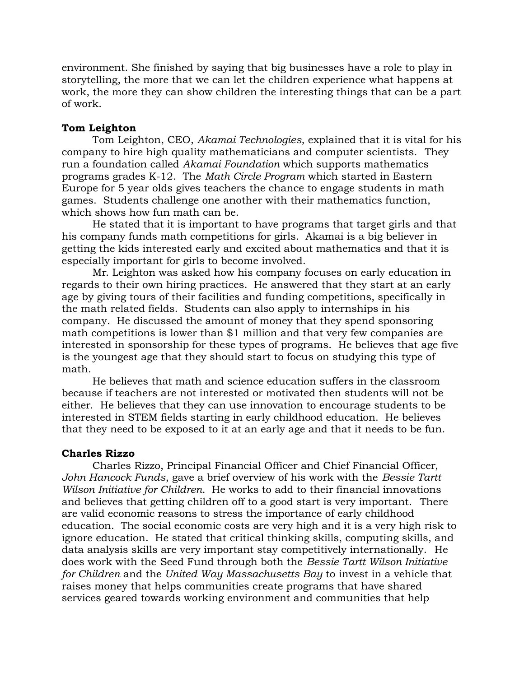environment. She finished by saying that big businesses have a role to play in storytelling, the more that we can let the children experience what happens at work, the more they can show children the interesting things that can be a part of work.

## **Tom Leighton**

Tom Leighton, CEO, *Akamai Technologies*, explained that it is vital for his company to hire high quality mathematicians and computer scientists.They run a foundation called *Akamai Foundation* which supports mathematics programs grades K-12. The *Math Circle Program* which started in Eastern Europe for 5 year olds gives teachers the chance to engage students in math games. Students challenge one another with their mathematics function, which shows how fun math can be.

He stated that it is important to have programs that target girls and that his company funds math competitions for girls. Akamai is a big believer in getting the kids interested early and excited about mathematics and that it is especially important for girls to become involved.

Mr. Leighton was asked how his company focuses on early education in regards to their own hiring practices. He answered that they start at an early age by giving tours of their facilities and funding competitions, specifically in the math related fields. Students can also apply to internships in his company. He discussed the amount of money that they spend sponsoring math competitions is lower than \$1 million and that very few companies are interested in sponsorship for these types of programs. He believes that age five is the youngest age that they should start to focus on studying this type of math.

He believes that math and science education suffers in the classroom because if teachers are not interested or motivated then students will not be either.He believes that they can use innovation to encourage students to be interested in STEM fields starting in early childhood education. He believes that they need to be exposed to it at an early age and that it needs to be fun.

## **Charles Rizzo**

Charles Rizzo, Principal Financial Officer and Chief Financial Officer, *John Hancock Funds*, gave a brief overview of his work with the *Bessie Tartt Wilson Initiative for Children*. He works to add to their financial innovations and believes that getting children off to a good start is very important.There are valid economic reasons to stress the importance of early childhood education. The social economic costs are very high and it is a very high risk to ignore education. He stated that critical thinking skills, computing skills, and data analysis skills are very important stay competitively internationally.He does work with the Seed Fund through both the *Bessie Tartt Wilson Initiative for Children* and the *United Way Massachusetts Bay* to invest in a vehicle that raises money that helps communities create programs that have shared services geared towards working environment and communities that help